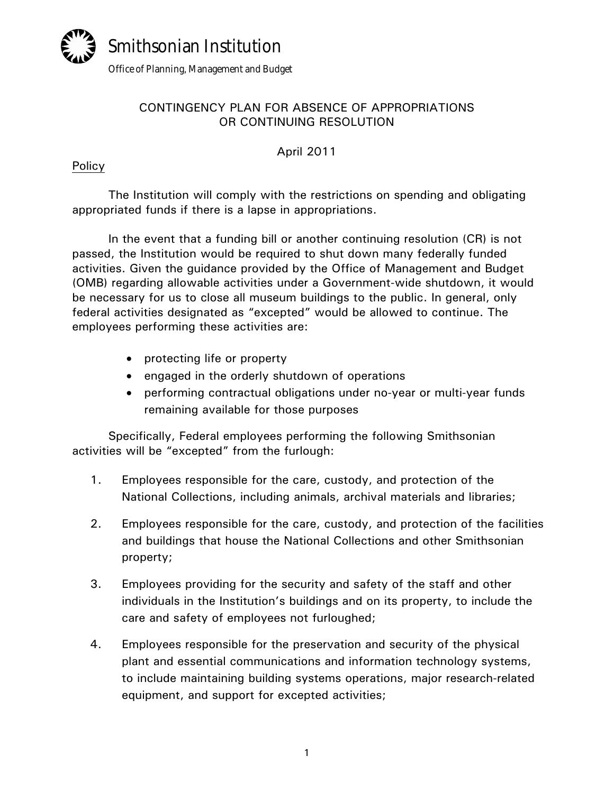

# CONTINGENCY PLAN FOR ABSENCE OF APPROPRIATIONS OR CONTINUING RESOLUTION

April 2011

### Policy

The Institution will comply with the restrictions on spending and obligating appropriated funds if there is a lapse in appropriations.

In the event that a funding bill or another continuing resolution (CR) is not passed, the Institution would be required to shut down many federally funded activities. Given the guidance provided by the Office of Management and Budget (OMB) regarding allowable activities under a Government-wide shutdown, it would be necessary for us to close all museum buildings to the public. In general, only federal activities designated as "excepted" would be allowed to continue. The employees performing these activities are:

- protecting life or property
- engaged in the orderly shutdown of operations
- performing contractual obligations under no-year or multi-year funds remaining available for those purposes

Specifically, Federal employees performing the following Smithsonian activities will be "excepted" from the furlough:

- 1. Employees responsible for the care, custody, and protection of the National Collections, including animals, archival materials and libraries;
- 2. Employees responsible for the care, custody, and protection of the facilities and buildings that house the National Collections and other Smithsonian property;
- 3. Employees providing for the security and safety of the staff and other individuals in the Institution's buildings and on its property, to include the care and safety of employees not furloughed;
- 4. Employees responsible for the preservation and security of the physical plant and essential communications and information technology systems, to include maintaining building systems operations, major research-related equipment, and support for excepted activities;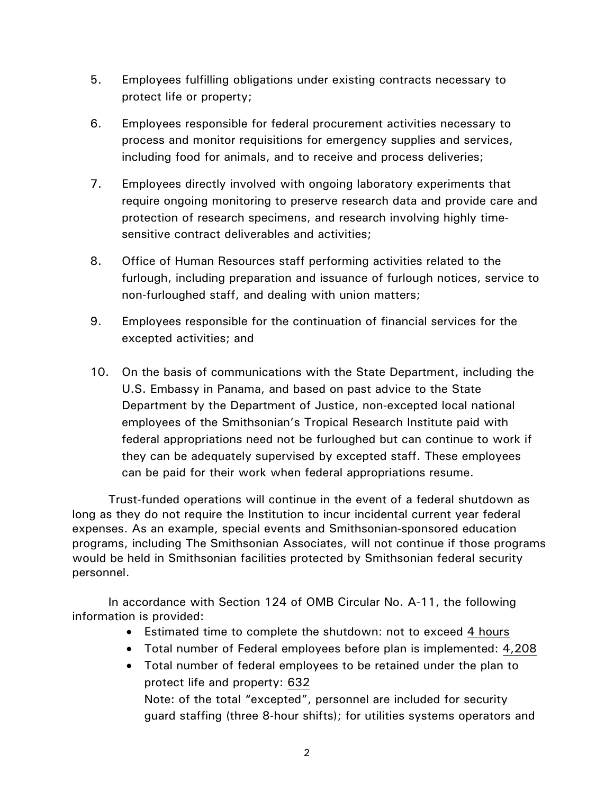- 5. Employees fulfilling obligations under existing contracts necessary to protect life or property;
- 6. Employees responsible for federal procurement activities necessary to process and monitor requisitions for emergency supplies and services, including food for animals, and to receive and process deliveries;
- 7. Employees directly involved with ongoing laboratory experiments that require ongoing monitoring to preserve research data and provide care and protection of research specimens, and research involving highly timesensitive contract deliverables and activities;
- 8. Office of Human Resources staff performing activities related to the furlough, including preparation and issuance of furlough notices, service to non-furloughed staff, and dealing with union matters;
- 9. Employees responsible for the continuation of financial services for the excepted activities; and
- 10. On the basis of communications with the State Department, including the U.S. Embassy in Panama, and based on past advice to the State Department by the Department of Justice, non-excepted local national employees of the Smithsonian's Tropical Research Institute paid with federal appropriations need not be furloughed but can continue to work if they can be adequately supervised by excepted staff. These employees can be paid for their work when federal appropriations resume.

Trust-funded operations will continue in the event of a federal shutdown as long as they do not require the Institution to incur incidental current year federal expenses. As an example, special events and Smithsonian-sponsored education programs, including The Smithsonian Associates, will not continue if those programs would be held in Smithsonian facilities protected by Smithsonian federal security personnel.

In accordance with Section 124 of OMB Circular No. A-11, the following information is provided:

- Estimated time to complete the shutdown: not to exceed 4 hours
- Total number of Federal employees before plan is implemented: 4,208
- Total number of federal employees to be retained under the plan to protect life and property: 632 Note: of the total "excepted", personnel are included for security guard staffing (three 8-hour shifts); for utilities systems operators and